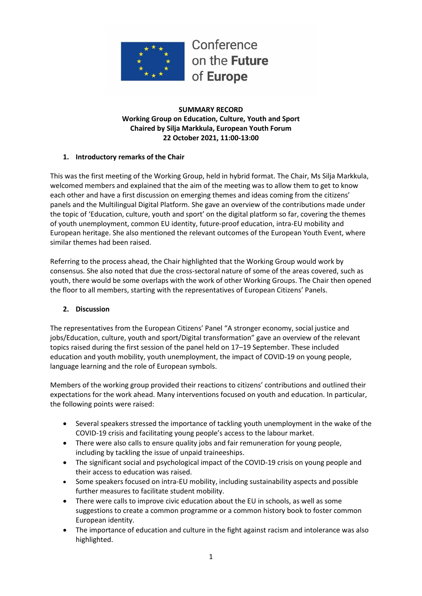

#### **SUMMARY RECORD Working Group on Education, Culture, Youth and Sport Chaired by Silja Markkula, European Youth Forum 22 October 2021, 11:00-13:00**

### **1. Introductory remarks of the Chair**

This was the first meeting of the Working Group, held in hybrid format. The Chair, Ms Silja Markkula, welcomed members and explained that the aim of the meeting was to allow them to get to know each other and have a first discussion on emerging themes and ideas coming from the citizens' panels and the Multilingual Digital Platform. She gave an overview of the contributions made under the topic of 'Education, culture, youth and sport' on the digital platform so far, covering the themes of youth unemployment, common EU identity, future-proof education, intra-EU mobility and European heritage. She also mentioned the relevant outcomes of the European Youth Event, where similar themes had been raised.

Referring to the process ahead, the Chair highlighted that the Working Group would work by consensus. She also noted that due the cross-sectoral nature of some of the areas covered, such as youth, there would be some overlaps with the work of other Working Groups. The Chair then opened the floor to all members, starting with the representatives of European Citizens' Panels.

#### **2. Discussion**

The representatives from the European Citizens' Panel "A stronger economy, social justice and jobs/Education, culture, youth and sport/Digital transformation" gave an overview of the relevant topics raised during the first session of the panel held on 17–19 September. These included education and youth mobility, youth unemployment, the impact of COVID-19 on young people, language learning and the role of European symbols.

Members of the working group provided their reactions to citizens' contributions and outlined their expectations for the work ahead. Many interventions focused on youth and education. In particular, the following points were raised:

- Several speakers stressed the importance of tackling youth unemployment in the wake of the COVID-19 crisis and facilitating young people's access to the labour market.
- There were also calls to ensure quality jobs and fair remuneration for young people, including by tackling the issue of unpaid traineeships.
- The significant social and psychological impact of the COVID-19 crisis on young people and their access to education was raised.
- Some speakers focused on intra-EU mobility, including sustainability aspects and possible further measures to facilitate student mobility.
- There were calls to improve civic education about the EU in schools, as well as some suggestions to create a common programme or a common history book to foster common European identity.
- The importance of education and culture in the fight against racism and intolerance was also highlighted.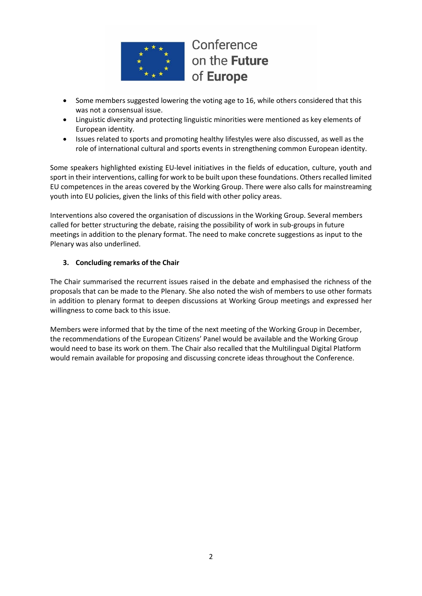

Conference on the Future of Europe

- Some members suggested lowering the voting age to 16, while others considered that this was not a consensual issue.
- Linguistic diversity and protecting linguistic minorities were mentioned as key elements of European identity.
- Issues related to sports and promoting healthy lifestyles were also discussed, as well as the role of international cultural and sports events in strengthening common European identity.

Some speakers highlighted existing EU-level initiatives in the fields of education, culture, youth and sport in their interventions, calling for work to be built upon these foundations. Others recalled limited EU competences in the areas covered by the Working Group. There were also calls for mainstreaming youth into EU policies, given the links of this field with other policy areas.

Interventions also covered the organisation of discussions in the Working Group. Several members called for better structuring the debate, raising the possibility of work in sub-groups in future meetings in addition to the plenary format. The need to make concrete suggestions as input to the Plenary was also underlined.

## **3. Concluding remarks of the Chair**

The Chair summarised the recurrent issues raised in the debate and emphasised the richness of the proposals that can be made to the Plenary. She also noted the wish of members to use other formats in addition to plenary format to deepen discussions at Working Group meetings and expressed her willingness to come back to this issue.

Members were informed that by the time of the next meeting of the Working Group in December, the recommendations of the European Citizens' Panel would be available and the Working Group would need to base its work on them. The Chair also recalled that the Multilingual Digital Platform would remain available for proposing and discussing concrete ideas throughout the Conference.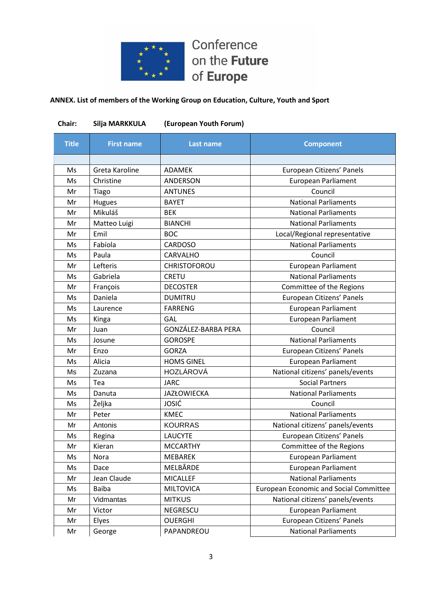

Conference on the Future of Europe

# **ANNEX. List of members of the Working Group on Education, Culture, Youth and Sport**

| Chair:       | Silja MARKKULA    | (European Youth Forum) |                                               |
|--------------|-------------------|------------------------|-----------------------------------------------|
| <b>Title</b> | <b>First name</b> | Last name              | <b>Component</b>                              |
|              |                   |                        |                                               |
| Ms           | Greta Karoline    | <b>ADAMEK</b>          | European Citizens' Panels                     |
| Ms           | Christine         | ANDERSON               | <b>European Parliament</b>                    |
| Mr           | Tiago             | <b>ANTUNES</b>         | Council                                       |
| Mr           | Hugues            | <b>BAYET</b>           | <b>National Parliaments</b>                   |
| Mr           | Mikuláš           | <b>BEK</b>             | <b>National Parliaments</b>                   |
| Mr           | Matteo Luigi      | <b>BIANCHI</b>         | <b>National Parliaments</b>                   |
| Mr           | Emil              | <b>BOC</b>             | Local/Regional representative                 |
| Ms           | Fabíola           | <b>CARDOSO</b>         | <b>National Parliaments</b>                   |
| Ms           | Paula             | CARVALHO               | Council                                       |
| Mr           | Lefteris          | CHRISTOFOROU           | <b>European Parliament</b>                    |
| Ms           | Gabriela          | <b>CRETU</b>           | <b>National Parliaments</b>                   |
| Mr           | François          | <b>DECOSTER</b>        | Committee of the Regions                      |
| Ms           | Daniela           | <b>DUMITRU</b>         | European Citizens' Panels                     |
| Ms           | Laurence          | <b>FARRENG</b>         | <b>European Parliament</b>                    |
| Ms           | Kinga             | GAL                    | <b>European Parliament</b>                    |
| Mr           | Juan              | GONZÁLEZ-BARBA PERA    | Council                                       |
| Ms           | Josune            | <b>GOROSPE</b>         | <b>National Parliaments</b>                   |
| Mr           | Enzo              | <b>GORZA</b>           | European Citizens' Panels                     |
| Ms           | Alicia            | <b>HOMS GINEL</b>      | <b>European Parliament</b>                    |
| Ms           | Zuzana            | HOZLÁROVÁ              | National citizens' panels/events              |
| Ms           | Tea               | <b>JARC</b>            | <b>Social Partners</b>                        |
| Ms           | Danuta            | <b>JAZŁOWIECKA</b>     | <b>National Parliaments</b>                   |
| Ms           | Željka            | <b>JOSIĆ</b>           | Council                                       |
| Mr           | Peter             | <b>KMEC</b>            | <b>National Parliaments</b>                   |
| Mr           | Antonis           | <b>KOURRAS</b>         | National citizens' panels/events              |
| Ms           | Regina            | LAUCYTE                | European Citizens' Panels                     |
| Mr           | Kieran            | <b>MCCARTHY</b>        | Committee of the Regions                      |
| Ms           | Nora              | <b>MEBAREK</b>         | <b>European Parliament</b>                    |
| Ms           | Dace              | MELBĀRDE               | <b>European Parliament</b>                    |
| Mr           | Jean Claude       | <b>MICALLEF</b>        | <b>National Parliaments</b>                   |
| Ms           | <b>Baiba</b>      | <b>MILTOVICA</b>       | <b>European Economic and Social Committee</b> |
| Mr           | Vidmantas         | <b>MITKUS</b>          | National citizens' panels/events              |
| Mr           | Victor            | NEGRESCU               | <b>European Parliament</b>                    |
| Mr           | Elyes             | <b>OUERGHI</b>         | European Citizens' Panels                     |
| Mr           | George            | PAPANDREOU             | <b>National Parliaments</b>                   |